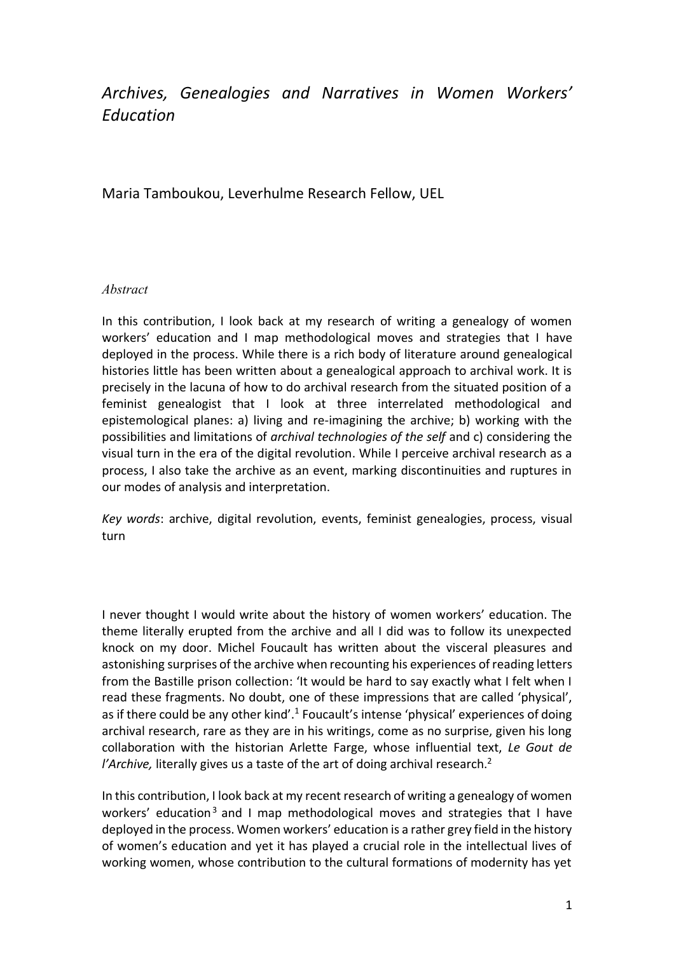# *Archives, Genealogies and Narratives in Women Workers' Education*

Maria Tamboukou, Leverhulme Research Fellow, UEL

### *Abstract*

In this contribution, I look back at my research of writing a genealogy of women workers' education and I map methodological moves and strategies that I have deployed in the process. While there is a rich body of literature around genealogical histories little has been written about a genealogical approach to archival work. It is precisely in the lacuna of how to do archival research from the situated position of a feminist genealogist that I look at three interrelated methodological and epistemological planes: a) living and re-imagining the archive; b) working with the possibilities and limitations of *archival technologies of the self* and c) considering the visual turn in the era of the digital revolution. While I perceive archival research as a process, I also take the archive as an event, marking discontinuities and ruptures in our modes of analysis and interpretation.

*Key words*: archive, digital revolution, events, feminist genealogies, process, visual turn

I never thought I would write about the history of women workers' education. The theme literally erupted from the archive and all I did was to follow its unexpected knock on my door. Michel Foucault has written about the visceral pleasures and astonishing surprises of the archive when recounting his experiences of reading letters from the Bastille prison collection: 'It would be hard to say exactly what I felt when I read these fragments. No doubt, one of these impressions that are called 'physical', as if there could be any other kind'.<sup>1</sup> Foucault's intense 'physical' experiences of doing archival research, rare as they are in his writings, come as no surprise, given his long collaboration with the historian Arlette Farge, whose influential text, *Le Gout de l'Archive,* literally gives us a taste of the art of doing archival research.<sup>2</sup>

In this contribution, I look back at my recent research of writing a genealogy of women workers' education<sup>3</sup> and I map methodological moves and strategies that I have deployed in the process. Women workers' education is a rather grey field in the history of women's education and yet it has played a crucial role in the intellectual lives of working women, whose contribution to the cultural formations of modernity has yet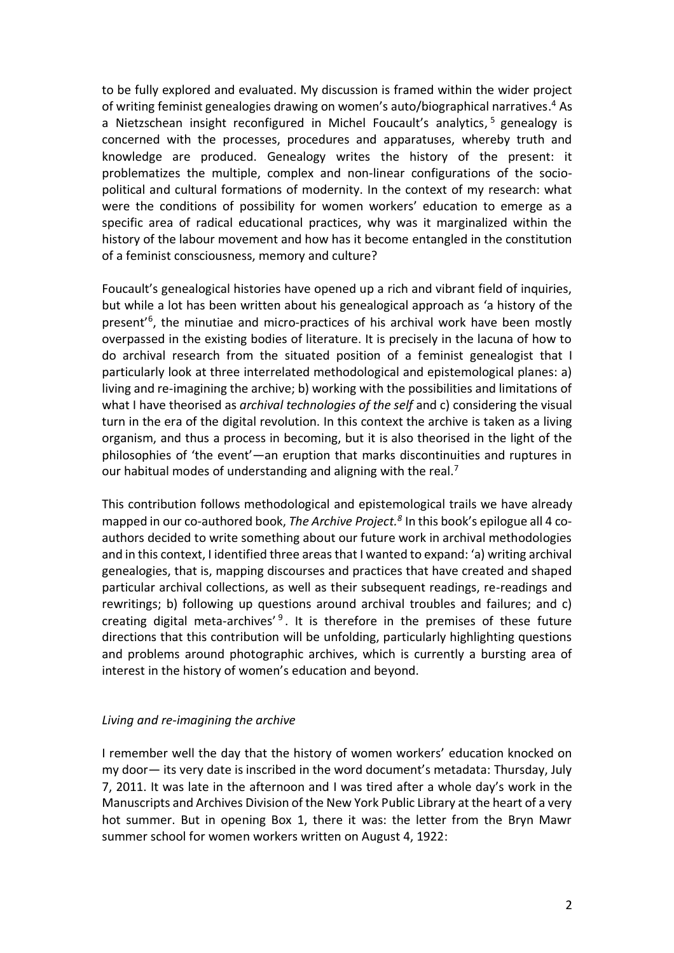to be fully explored and evaluated. My discussion is framed within the wider project of writing feminist genealogies drawing on women's auto/biographical narratives. <sup>4</sup> As a Nietzschean insight reconfigured in Michel Foucault's analytics,<sup>5</sup> genealogy is concerned with the processes, procedures and apparatuses, whereby truth and knowledge are produced. Genealogy writes the history of the present: it problematizes the multiple, complex and non-linear configurations of the sociopolitical and cultural formations of modernity. In the context of my research: what were the conditions of possibility for women workers' education to emerge as a specific area of radical educational practices, why was it marginalized within the history of the labour movement and how has it become entangled in the constitution of a feminist consciousness, memory and culture?

Foucault's genealogical histories have opened up a rich and vibrant field of inquiries, but while a lot has been written about his genealogical approach as 'a history of the present<sup>'6</sup>, the minutiae and micro-practices of his archival work have been mostly overpassed in the existing bodies of literature. It is precisely in the lacuna of how to do archival research from the situated position of a feminist genealogist that I particularly look at three interrelated methodological and epistemological planes: a) living and re-imagining the archive; b) working with the possibilities and limitations of what I have theorised as *archival technologies of the self* and c) considering the visual turn in the era of the digital revolution. In this context the archive is taken as a living organism, and thus a process in becoming, but it is also theorised in the light of the philosophies of 'the event'—an eruption that marks discontinuities and ruptures in our habitual modes of understanding and aligning with the real.<sup>7</sup>

This contribution follows methodological and epistemological trails we have already mapped in our co-authored book, *The Archive Project.<sup>8</sup>* In this book's epilogue all 4 coauthors decided to write something about our future work in archival methodologies and in this context, I identified three areas that I wanted to expand: 'a) writing archival genealogies, that is, mapping discourses and practices that have created and shaped particular archival collections, as well as their subsequent readings, re-readings and rewritings; b) following up questions around archival troubles and failures; and c) creating digital meta-archives'<sup>9</sup>. It is therefore in the premises of these future directions that this contribution will be unfolding, particularly highlighting questions and problems around photographic archives, which is currently a bursting area of interest in the history of women's education and beyond.

#### *Living and re-imagining the archive*

I remember well the day that the history of women workers' education knocked on my door— its very date is inscribed in the word document's metadata: Thursday, July 7, 2011. It was late in the afternoon and I was tired after a whole day's work in the Manuscripts and Archives Division of the New York Public Library at the heart of a very hot summer. But in opening Box 1, there it was: the letter from the Bryn Mawr summer school for women workers written on August 4, 1922: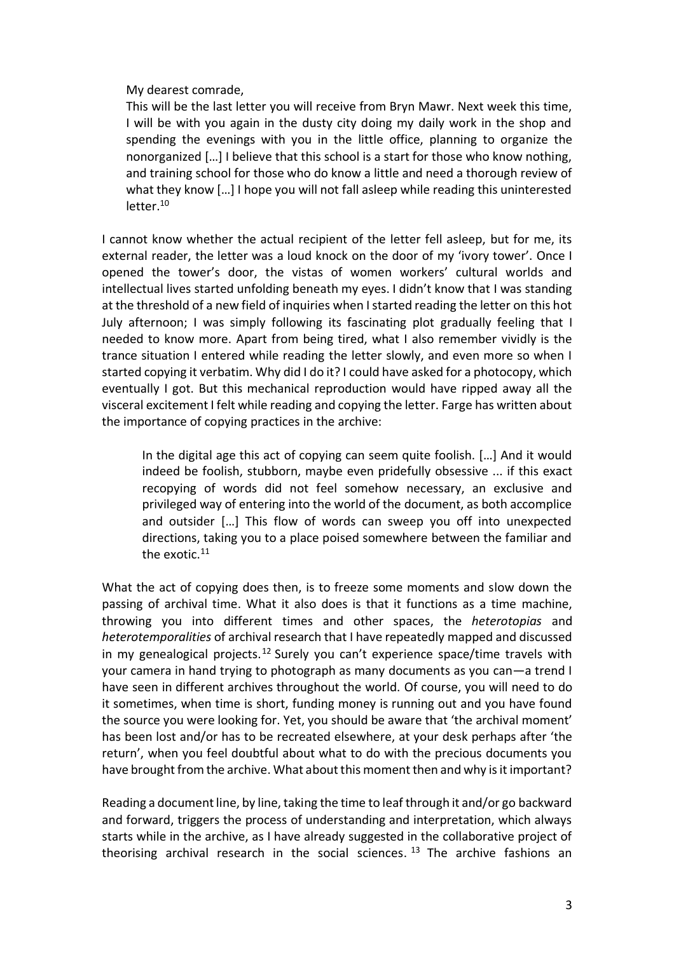My dearest comrade,

This will be the last letter you will receive from Bryn Mawr. Next week this time, I will be with you again in the dusty city doing my daily work in the shop and spending the evenings with you in the little office, planning to organize the nonorganized […] I believe that this school is a start for those who know nothing, and training school for those who do know a little and need a thorough review of what they know […] I hope you will not fall asleep while reading this uninterested letter.<sup>10</sup>

I cannot know whether the actual recipient of the letter fell asleep, but for me, its external reader, the letter was a loud knock on the door of my 'ivory tower'. Once I opened the tower's door, the vistas of women workers' cultural worlds and intellectual lives started unfolding beneath my eyes. I didn't know that I was standing at the threshold of a new field of inquiries when I started reading the letter on this hot July afternoon; I was simply following its fascinating plot gradually feeling that I needed to know more. Apart from being tired, what I also remember vividly is the trance situation I entered while reading the letter slowly, and even more so when I started copying it verbatim. Why did I do it? I could have asked for a photocopy, which eventually I got. But this mechanical reproduction would have ripped away all the visceral excitement I felt while reading and copying the letter. Farge has written about the importance of copying practices in the archive:

In the digital age this act of copying can seem quite foolish. […] And it would indeed be foolish, stubborn, maybe even pridefully obsessive ... if this exact recopying of words did not feel somehow necessary, an exclusive and privileged way of entering into the world of the document, as both accomplice and outsider […] This flow of words can sweep you off into unexpected directions, taking you to a place poised somewhere between the familiar and the exotic. $^{\rm 11}$ 

What the act of copying does then, is to freeze some moments and slow down the passing of archival time. What it also does is that it functions as a time machine, throwing you into different times and other spaces, the *heterotopias* and *heterotemporalities* of archival research that I have repeatedly mapped and discussed in my genealogical projects.<sup>12</sup> Surely you can't experience space/time travels with your camera in hand trying to photograph as many documents as you can—a trend I have seen in different archives throughout the world. Of course, you will need to do it sometimes, when time is short, funding money is running out and you have found the source you were looking for. Yet, you should be aware that 'the archival moment' has been lost and/or has to be recreated elsewhere, at your desk perhaps after 'the return', when you feel doubtful about what to do with the precious documents you have brought from the archive. What about this moment then and why is it important?

Reading a document line, by line, taking the time to leaf through it and/or go backward and forward, triggers the process of understanding and interpretation, which always starts while in the archive, as I have already suggested in the collaborative project of theorising archival research in the social sciences.<sup>13</sup> The archive fashions an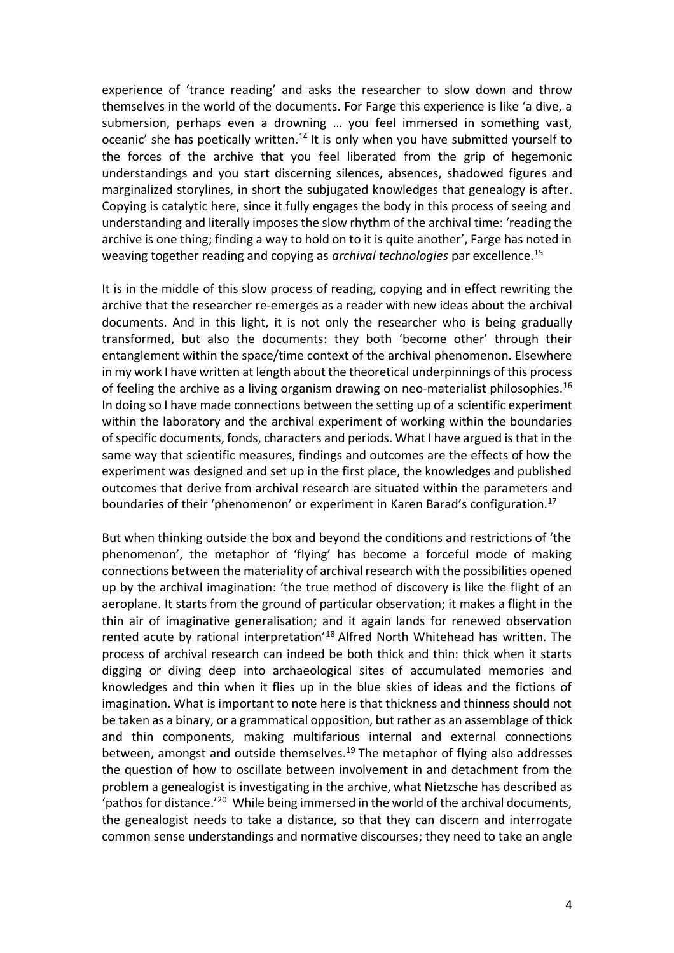experience of 'trance reading' and asks the researcher to slow down and throw themselves in the world of the documents. For Farge this experience is like 'a dive, a submersion, perhaps even a drowning … you feel immersed in something vast, oceanic' she has poetically written.<sup>14</sup> It is only when you have submitted yourself to the forces of the archive that you feel liberated from the grip of hegemonic understandings and you start discerning silences, absences, shadowed figures and marginalized storylines, in short the subjugated knowledges that genealogy is after. Copying is catalytic here, since it fully engages the body in this process of seeing and understanding and literally imposes the slow rhythm of the archival time: 'reading the archive is one thing; finding a way to hold on to it is quite another', Farge has noted in weaving together reading and copying as *archival technologies* par excellence.<sup>15</sup>

It is in the middle of this slow process of reading, copying and in effect rewriting the archive that the researcher re-emerges as a reader with new ideas about the archival documents. And in this light, it is not only the researcher who is being gradually transformed, but also the documents: they both 'become other' through their entanglement within the space/time context of the archival phenomenon. Elsewhere in my work I have written at length about the theoretical underpinnings of this process of feeling the archive as a living organism drawing on neo-materialist philosophies.<sup>16</sup> In doing so I have made connections between the setting up of a scientific experiment within the laboratory and the archival experiment of working within the boundaries of specific documents, fonds, characters and periods. What I have argued is that in the same way that scientific measures, findings and outcomes are the effects of how the experiment was designed and set up in the first place, the knowledges and published outcomes that derive from archival research are situated within the parameters and boundaries of their 'phenomenon' or experiment in Karen Barad's configuration.<sup>17</sup>

But when thinking outside the box and beyond the conditions and restrictions of 'the phenomenon', the metaphor of 'flying' has become a forceful mode of making connections between the materiality of archival research with the possibilities opened up by the archival imagination: 'the true method of discovery is like the flight of an aeroplane. It starts from the ground of particular observation; it makes a flight in the thin air of imaginative generalisation; and it again lands for renewed observation rented acute by rational interpretation<sup>'18</sup> Alfred North Whitehead has written. The process of archival research can indeed be both thick and thin: thick when it starts digging or diving deep into archaeological sites of accumulated memories and knowledges and thin when it flies up in the blue skies of ideas and the fictions of imagination. What is important to note here is that thickness and thinness should not be taken as a binary, or a grammatical opposition, but rather as an assemblage of thick and thin components, making multifarious internal and external connections between, amongst and outside themselves.<sup>19</sup> The metaphor of flying also addresses the question of how to oscillate between involvement in and detachment from the problem a genealogist is investigating in the archive, what Nietzsche has described as 'pathos for distance.<sup>'20</sup> While being immersed in the world of the archival documents, the genealogist needs to take a distance, so that they can discern and interrogate common sense understandings and normative discourses; they need to take an angle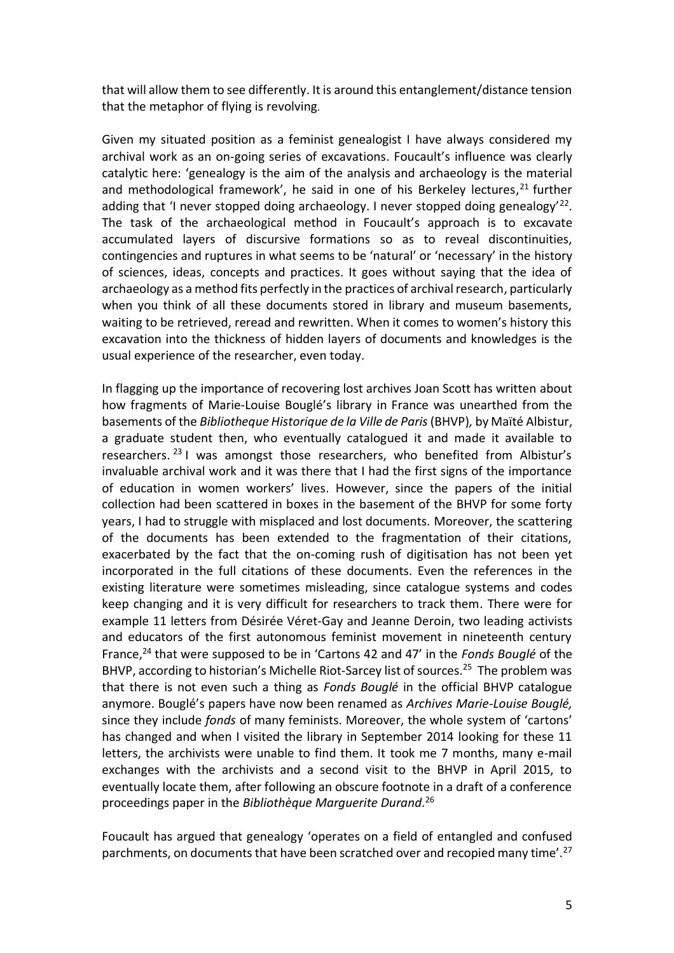that will allow them to see differently. It is around this entanglement/distance tension that the metaphor of flying is revolving.

Given my situated position as a feminist genealogist I have always considered my archival work as an on-going series of excavations. Foucault's influence was clearly catalytic here: 'genealogy is the aim of the analysis and archaeology is the material and methodological framework', he said in one of his Berkeley lectures,<sup>21</sup> further adding that 'I never stopped doing archaeology. I never stopped doing genealogy<sup>'22</sup>. The task of the archaeological method in Foucault's approach is to excavate accumulated layers of discursive formations so as to reveal discontinuities, contingencies and ruptures in what seems to be 'natural' or 'necessary' in the history of sciences, ideas, concepts and practices. It goes without saying that the idea of archaeology as a method fits perfectly in the practices of archival research, particularly when you think of all these documents stored in library and museum basements, waiting to be retrieved, reread and rewritten. When it comes to women's history this excavation into the thickness of hidden layers of documents and knowledges is the usual experience of the researcher, even today.

In flagging up the importance of recovering lost archives Joan Scott has written about how fragments of Marie-Louise Bouglé's library in France was unearthed from the basements of the *Bibliotheque Historique de la Ville de Paris*(BHVP)*,* by Maïté Albistur, a graduate student then, who eventually catalogued it and made it available to researchers.<sup>23</sup> I was amongst those researchers, who benefited from Albistur's invaluable archival work and it was there that I had the first signs of the importance of education in women workers' lives. However, since the papers of the initial collection had been scattered in boxes in the basement of the BHVP for some forty years, I had to struggle with misplaced and lost documents*.* Moreover, the scattering of the documents has been extended to the fragmentation of their citations, exacerbated by the fact that the on-coming rush of digitisation has not been yet incorporated in the full citations of these documents. Even the references in the existing literature were sometimes misleading, since catalogue systems and codes keep changing and it is very difficult for researchers to track them. There were for example 11 letters from Désirée Véret-Gay and Jeanne Deroin, two leading activists and educators of the first autonomous feminist movement in nineteenth century France, <sup>24</sup> that were supposed to be in 'Cartons 42 and 47' in the *Fonds Bouglé* of the BHVP, according to historian's Michelle Riot-Sarcey list of sources.<sup>25</sup> The problem was that there is not even such a thing as *Fonds Bouglé* in the official BHVP catalogue anymore. Bouglé's papers have now been renamed as *Archives Marie-Louise Bouglé,*  since they include *fonds* of many feminists. Moreover, the whole system of 'cartons' has changed and when I visited the library in September 2014 looking for these 11 letters, the archivists were unable to find them. It took me 7 months, many e-mail exchanges with the archivists and a second visit to the BHVP in April 2015, to eventually locate them, after following an obscure footnote in a draft of a conference proceedings paper in the *Bibliothèque Marguerite Durand.* 26

Foucault has argued that genealogy 'operates on a field of entangled and confused parchments, on documents that have been scratched over and recopied many time'.<sup>27</sup>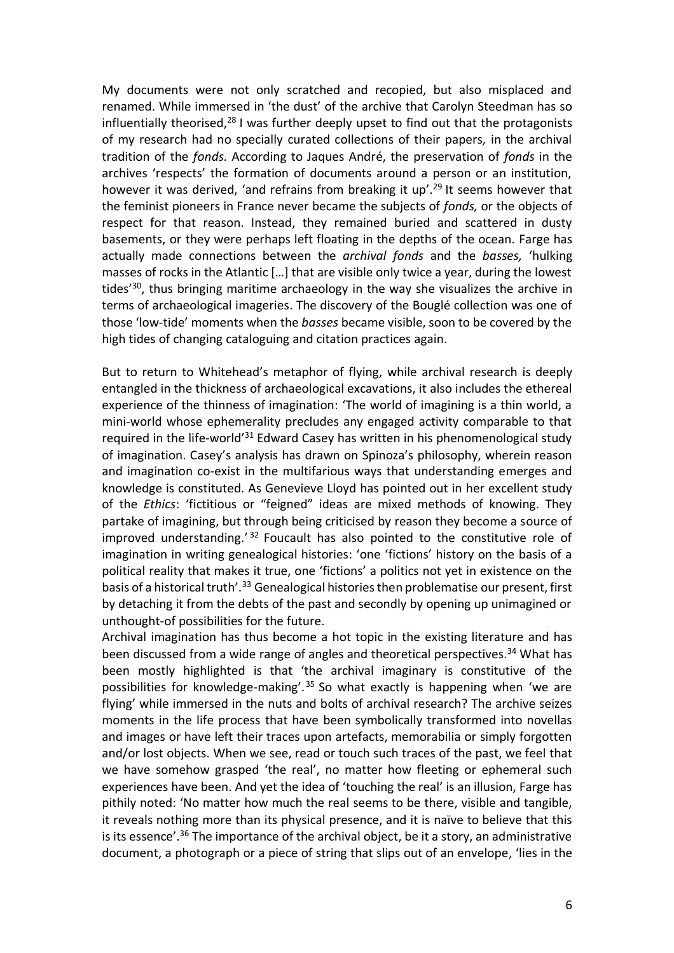My documents were not only scratched and recopied, but also misplaced and renamed. While immersed in 'the dust' of the archive that Carolyn Steedman has so influentially theorised,<sup>28</sup> I was further deeply upset to find out that the protagonists of my research had no specially curated collections of their papers*,* in the archival tradition of the *fonds.* According to Jaques André, the preservation of *fonds* in the archives 'respects' the formation of documents around a person or an institution, however it was derived, 'and refrains from breaking it up'.<sup>29</sup> It seems however that the feminist pioneers in France never became the subjects of *fonds,* or the objects of respect for that reason. Instead, they remained buried and scattered in dusty basements, or they were perhaps left floating in the depths of the ocean. Farge has actually made connections between the *archival fonds* and the *basses,* 'hulking masses of rocks in the Atlantic […] that are visible only twice a year, during the lowest tides<sup>'30</sup>, thus bringing maritime archaeology in the way she visualizes the archive in terms of archaeological imageries. The discovery of the Bouglé collection was one of those 'low-tide' moments when the *basses* became visible, soon to be covered by the high tides of changing cataloguing and citation practices again.

But to return to Whitehead's metaphor of flying, while archival research is deeply entangled in the thickness of archaeological excavations, it also includes the ethereal experience of the thinness of imagination: 'The world of imagining is a thin world, a mini-world whose ephemerality precludes any engaged activity comparable to that required in the life-world<sup>'31</sup> Edward Casey has written in his phenomenological study of imagination. Casey's analysis has drawn on Spinoza's philosophy, wherein reason and imagination co-exist in the multifarious ways that understanding emerges and knowledge is constituted. As Genevieve Lloyd has pointed out in her excellent study of the *Ethics*: 'fictitious or "feigned" ideas are mixed methods of knowing. They partake of imagining, but through being criticised by reason they become a source of improved understanding.<sup>'32</sup> Foucault has also pointed to the constitutive role of imagination in writing genealogical histories: 'one 'fictions' history on the basis of a political reality that makes it true, one 'fictions' a politics not yet in existence on the basis of a historical truth'.<sup>33</sup> Genealogical histories then problematise our present, first by detaching it from the debts of the past and secondly by opening up unimagined or unthought-of possibilities for the future.

Archival imagination has thus become a hot topic in the existing literature and has been discussed from a wide range of angles and theoretical perspectives.<sup>34</sup> What has been mostly highlighted is that 'the archival imaginary is constitutive of the possibilities for knowledge-making'.<sup>35</sup> So what exactly is happening when 'we are flying' while immersed in the nuts and bolts of archival research? The archive seizes moments in the life process that have been symbolically transformed into novellas and images or have left their traces upon artefacts, memorabilia or simply forgotten and/or lost objects. When we see, read or touch such traces of the past, we feel that we have somehow grasped 'the real', no matter how fleeting or ephemeral such experiences have been. And yet the idea of 'touching the real' is an illusion, Farge has pithily noted: 'No matter how much the real seems to be there, visible and tangible, it reveals nothing more than its physical presence, and it is naïve to believe that this is its essence'.<sup>36</sup> The importance of the archival object, be it a story, an administrative document, a photograph or a piece of string that slips out of an envelope, 'lies in the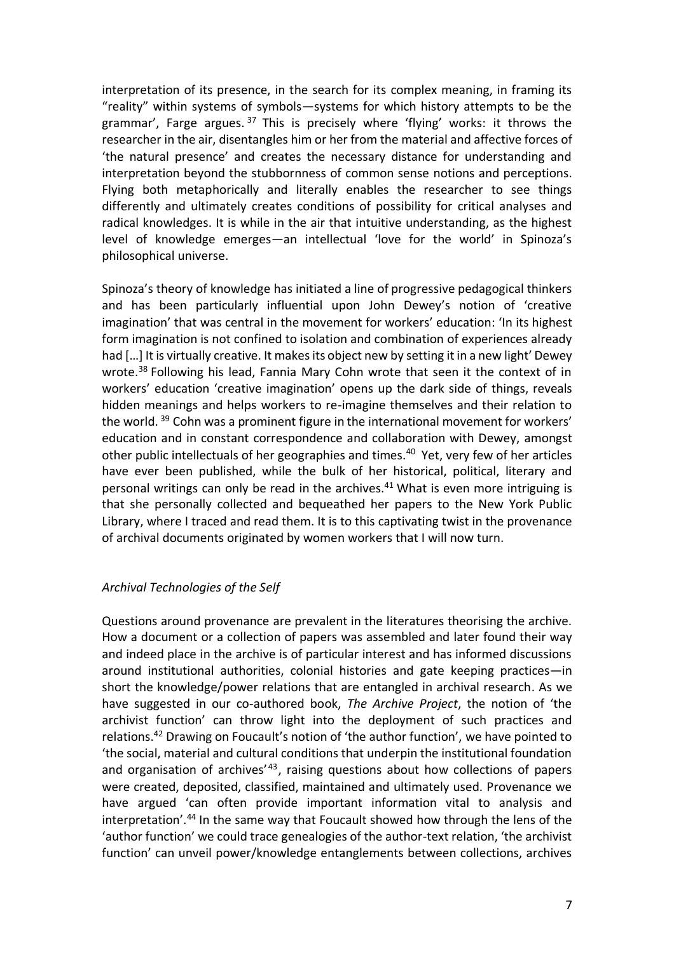interpretation of its presence, in the search for its complex meaning, in framing its "reality" within systems of symbols—systems for which history attempts to be the grammar', Farge argues.  $37$  This is precisely where 'flying' works: it throws the researcher in the air, disentangles him or her from the material and affective forces of 'the natural presence' and creates the necessary distance for understanding and interpretation beyond the stubbornness of common sense notions and perceptions. Flying both metaphorically and literally enables the researcher to see things differently and ultimately creates conditions of possibility for critical analyses and radical knowledges. It is while in the air that intuitive understanding, as the highest level of knowledge emerges—an intellectual 'love for the world' in Spinoza's philosophical universe.

Spinoza's theory of knowledge has initiated a line of progressive pedagogical thinkers and has been particularly influential upon John Dewey's notion of 'creative imagination' that was central in the movement for workers' education: 'In its highest form imagination is not confined to isolation and combination of experiences already had [...] It is virtually creative. It makes its object new by setting it in a new light' Dewey wrote.<sup>38</sup> Following his lead, Fannia Mary Cohn wrote that seen it the context of in workers' education 'creative imagination' opens up the dark side of things, reveals hidden meanings and helps workers to re-imagine themselves and their relation to the world. <sup>39</sup> Cohn was a prominent figure in the international movement for workers' education and in constant correspondence and collaboration with Dewey, amongst other public intellectuals of her geographies and times.<sup>40</sup> Yet, very few of her articles have ever been published, while the bulk of her historical, political, literary and personal writings can only be read in the archives.<sup>41</sup> What is even more intriguing is that she personally collected and bequeathed her papers to the New York Public Library, where I traced and read them. It is to this captivating twist in the provenance of archival documents originated by women workers that I will now turn.

## *Archival Technologies of the Self*

Questions around provenance are prevalent in the literatures theorising the archive. How a document or a collection of papers was assembled and later found their way and indeed place in the archive is of particular interest and has informed discussions around institutional authorities, colonial histories and gate keeping practices—in short the knowledge/power relations that are entangled in archival research. As we have suggested in our co-authored book, *The Archive Project*, the notion of 'the archivist function' can throw light into the deployment of such practices and relations.<sup>42</sup> Drawing on Foucault's notion of 'the author function', we have pointed to 'the social, material and cultural conditions that underpin the institutional foundation and organisation of archives<sup> $43$ </sup>, raising questions about how collections of papers were created, deposited, classified, maintained and ultimately used. Provenance we have argued 'can often provide important information vital to analysis and interpretation'.<sup>44</sup> In the same way that Foucault showed how through the lens of the 'author function' we could trace genealogies of the author-text relation, 'the archivist function' can unveil power/knowledge entanglements between collections, archives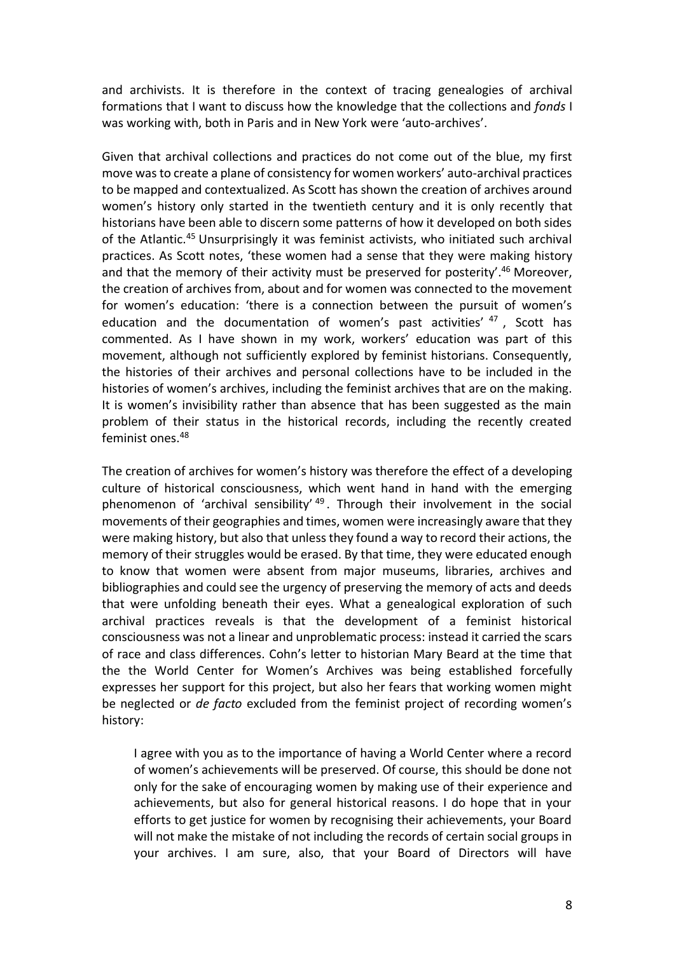and archivists. It is therefore in the context of tracing genealogies of archival formations that I want to discuss how the knowledge that the collections and *fonds* I was working with, both in Paris and in New York were 'auto-archives'.

Given that archival collections and practices do not come out of the blue, my first move was to create a plane of consistency for women workers' auto-archival practices to be mapped and contextualized. As Scott has shown the creation of archives around women's history only started in the twentieth century and it is only recently that historians have been able to discern some patterns of how it developed on both sides of the Atlantic.<sup>45</sup> Unsurprisingly it was feminist activists, who initiated such archival practices. As Scott notes, 'these women had a sense that they were making history and that the memory of their activity must be preserved for posterity'.<sup>46</sup> Moreover, the creation of archives from, about and for women was connected to the movement for women's education: 'there is a connection between the pursuit of women's education and the documentation of women's past activities' 47, Scott has commented. As I have shown in my work, workers' education was part of this movement, although not sufficiently explored by feminist historians. Consequently, the histories of their archives and personal collections have to be included in the histories of women's archives, including the feminist archives that are on the making. It is women's invisibility rather than absence that has been suggested as the main problem of their status in the historical records, including the recently created feminist ones.<sup>48</sup>

The creation of archives for women's history was therefore the effect of a developing culture of historical consciousness, which went hand in hand with the emerging phenomenon of 'archival sensibility'<sup>49</sup>. Through their involvement in the social movements of their geographies and times, women were increasingly aware that they were making history, but also that unless they found a way to record their actions, the memory of their struggles would be erased. By that time, they were educated enough to know that women were absent from major museums, libraries, archives and bibliographies and could see the urgency of preserving the memory of acts and deeds that were unfolding beneath their eyes. What a genealogical exploration of such archival practices reveals is that the development of a feminist historical consciousness was not a linear and unproblematic process: instead it carried the scars of race and class differences. Cohn's letter to historian Mary Beard at the time that the the World Center for Women's Archives was being established forcefully expresses her support for this project, but also her fears that working women might be neglected or *de facto* excluded from the feminist project of recording women's history:

I agree with you as to the importance of having a World Center where a record of women's achievements will be preserved. Of course, this should be done not only for the sake of encouraging women by making use of their experience and achievements, but also for general historical reasons. I do hope that in your efforts to get justice for women by recognising their achievements, your Board will not make the mistake of not including the records of certain social groups in your archives. I am sure, also, that your Board of Directors will have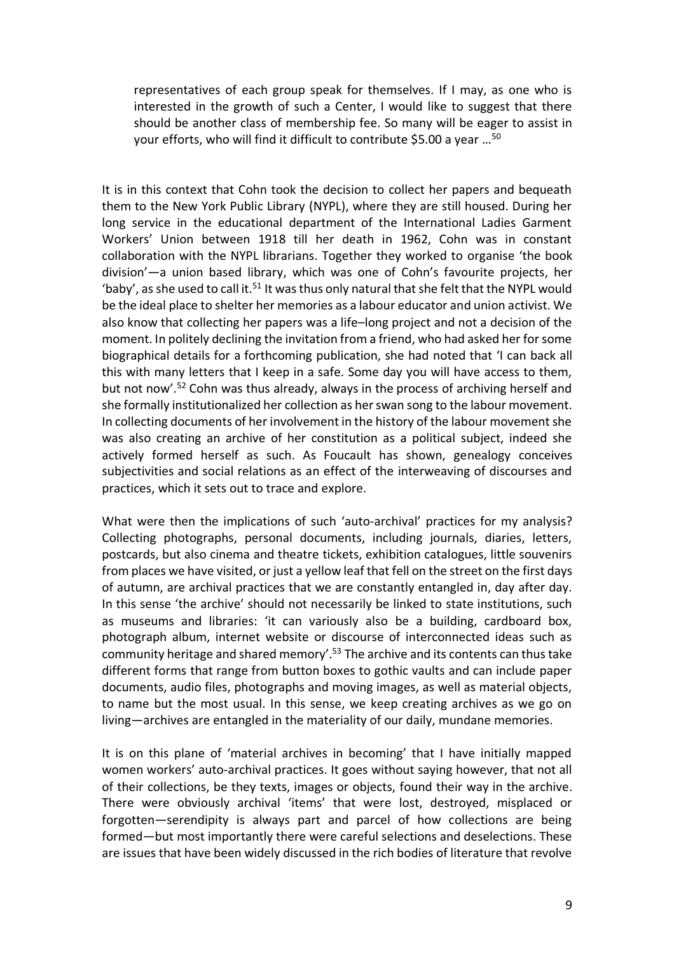representatives of each group speak for themselves. If I may, as one who is interested in the growth of such a Center, I would like to suggest that there should be another class of membership fee. So many will be eager to assist in your efforts, who will find it difficult to contribute \$5.00 a year …<sup>50</sup>

It is in this context that Cohn took the decision to collect her papers and bequeath them to the New York Public Library (NYPL), where they are still housed. During her long service in the educational department of the International Ladies Garment Workers' Union between 1918 till her death in 1962, Cohn was in constant collaboration with the NYPL librarians. Together they worked to organise 'the book division'—a union based library, which was one of Cohn's favourite projects, her 'baby', as she used to call it.<sup>51</sup> It was thus only natural that she felt that the NYPL would be the ideal place to shelter her memories as a labour educator and union activist. We also know that collecting her papers was a life–long project and not a decision of the moment. In politely declining the invitation from a friend, who had asked her for some biographical details for a forthcoming publication, she had noted that 'I can back all this with many letters that I keep in a safe. Some day you will have access to them, but not now'.<sup>52</sup> Cohn was thus already, always in the process of archiving herself and she formally institutionalized her collection as her swan song to the labour movement. In collecting documents of her involvement in the history of the labour movement she was also creating an archive of her constitution as a political subject, indeed she actively formed herself as such. As Foucault has shown, genealogy conceives subjectivities and social relations as an effect of the interweaving of discourses and practices, which it sets out to trace and explore.

What were then the implications of such 'auto-archival' practices for my analysis? Collecting photographs, personal documents, including journals, diaries, letters, postcards, but also cinema and theatre tickets, exhibition catalogues, little souvenirs from places we have visited, or just a yellow leaf that fell on the street on the first days of autumn, are archival practices that we are constantly entangled in, day after day. In this sense 'the archive' should not necessarily be linked to state institutions, such as museums and libraries: 'it can variously also be a building, cardboard box, photograph album, internet website or discourse of interconnected ideas such as community heritage and shared memory'.<sup>53</sup> The archive and its contents can thus take different forms that range from button boxes to gothic vaults and can include paper documents, audio files, photographs and moving images, as well as material objects, to name but the most usual. In this sense, we keep creating archives as we go on living—archives are entangled in the materiality of our daily, mundane memories.

It is on this plane of 'material archives in becoming' that I have initially mapped women workers' auto-archival practices. It goes without saying however, that not all of their collections, be they texts, images or objects, found their way in the archive. There were obviously archival 'items' that were lost, destroyed, misplaced or forgotten—serendipity is always part and parcel of how collections are being formed—but most importantly there were careful selections and deselections. These are issues that have been widely discussed in the rich bodies of literature that revolve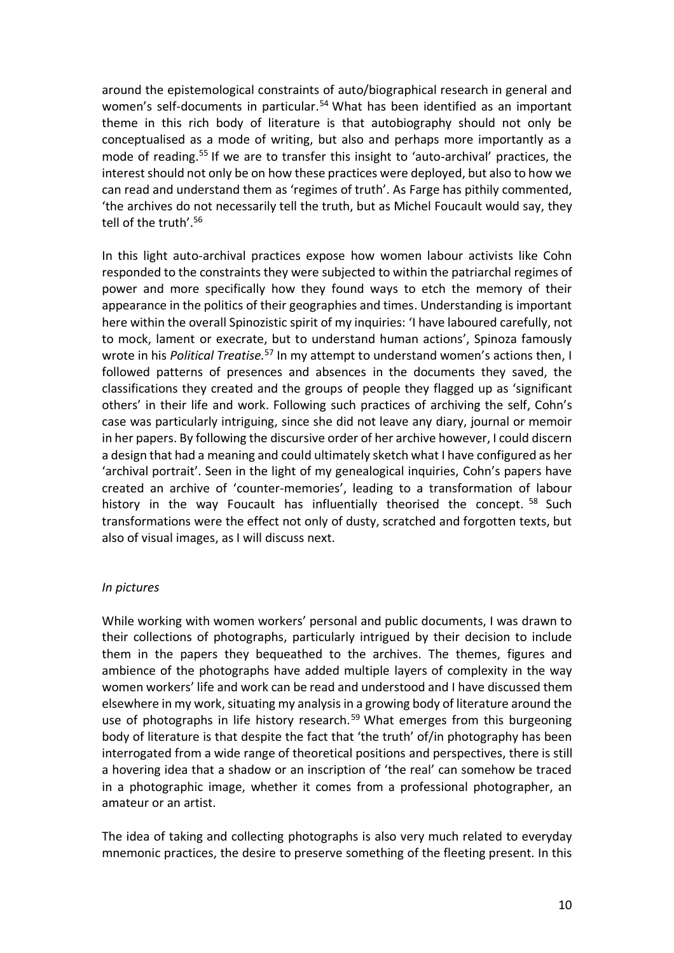around the epistemological constraints of auto/biographical research in general and women's self-documents in particular.<sup>54</sup> What has been identified as an important theme in this rich body of literature is that autobiography should not only be conceptualised as a mode of writing, but also and perhaps more importantly as a mode of reading.<sup>55</sup> If we are to transfer this insight to 'auto-archival' practices, the interest should not only be on how these practices were deployed, but also to how we can read and understand them as 'regimes of truth'. As Farge has pithily commented, 'the archives do not necessarily tell the truth, but as Michel Foucault would say, they tell of the truth'.<sup>56</sup>

In this light auto-archival practices expose how women labour activists like Cohn responded to the constraints they were subjected to within the patriarchal regimes of power and more specifically how they found ways to etch the memory of their appearance in the politics of their geographies and times. Understanding is important here within the overall Spinozistic spirit of my inquiries: 'I have laboured carefully, not to mock, lament or execrate, but to understand human actions', Spinoza famously wrote in his *Political Treatise.*<sup>57</sup> In my attempt to understand women's actions then, I followed patterns of presences and absences in the documents they saved, the classifications they created and the groups of people they flagged up as 'significant others' in their life and work. Following such practices of archiving the self, Cohn's case was particularly intriguing, since she did not leave any diary, journal or memoir in her papers. By following the discursive order of her archive however, I could discern a design that had a meaning and could ultimately sketch what I have configured as her 'archival portrait'. Seen in the light of my genealogical inquiries, Cohn's papers have created an archive of 'counter-memories', leading to a transformation of labour history in the way Foucault has influentially theorised the concept. <sup>58</sup> Such transformations were the effect not only of dusty, scratched and forgotten texts, but also of visual images, as I will discuss next.

#### *In pictures*

While working with women workers' personal and public documents, I was drawn to their collections of photographs, particularly intrigued by their decision to include them in the papers they bequeathed to the archives. The themes, figures and ambience of the photographs have added multiple layers of complexity in the way women workers' life and work can be read and understood and I have discussed them elsewhere in my work, situating my analysis in a growing body of literature around the use of photographs in life history research.<sup>59</sup> What emerges from this burgeoning body of literature is that despite the fact that 'the truth' of/in photography has been interrogated from a wide range of theoretical positions and perspectives, there is still a hovering idea that a shadow or an inscription of 'the real' can somehow be traced in a photographic image, whether it comes from a professional photographer, an amateur or an artist.

The idea of taking and collecting photographs is also very much related to everyday mnemonic practices, the desire to preserve something of the fleeting present. In this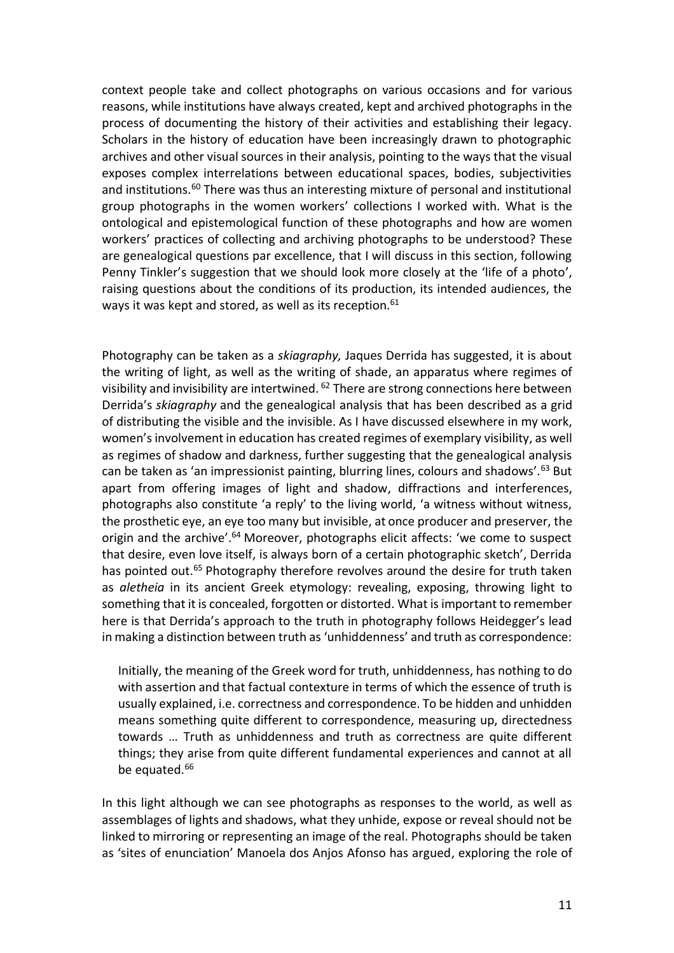context people take and collect photographs on various occasions and for various reasons, while institutions have always created, kept and archived photographs in the process of documenting the history of their activities and establishing their legacy. Scholars in the history of education have been increasingly drawn to photographic archives and other visual sources in their analysis, pointing to the ways that the visual exposes complex interrelations between educational spaces, bodies, subjectivities and institutions.<sup>60</sup> There was thus an interesting mixture of personal and institutional group photographs in the women workers' collections I worked with. What is the ontological and epistemological function of these photographs and how are women workers' practices of collecting and archiving photographs to be understood? These are genealogical questions par excellence, that I will discuss in this section, following Penny Tinkler's suggestion that we should look more closely at the 'life of a photo', raising questions about the conditions of its production, its intended audiences, the ways it was kept and stored, as well as its reception.<sup>61</sup>

Photography can be taken as a *skiagraphy,* Jaques Derrida has suggested, it is about the writing of light, as well as the writing of shade, an apparatus where regimes of visibility and invisibility are intertwined. <sup>62</sup> There are strong connections here between Derrida's *skiagraphy* and the genealogical analysis that has been described as a grid of distributing the visible and the invisible. As I have discussed elsewhere in my work, women's involvement in education has created regimes of exemplary visibility, as well as regimes of shadow and darkness, further suggesting that the genealogical analysis can be taken as 'an impressionist painting, blurring lines, colours and shadows'.<sup>63</sup> But apart from offering images of light and shadow, diffractions and interferences, photographs also constitute 'a reply' to the living world, 'a witness without witness, the prosthetic eye, an eye too many but invisible, at once producer and preserver, the origin and the archive'.<sup>64</sup> Moreover, photographs elicit affects: 'we come to suspect that desire, even love itself, is always born of a certain photographic sketch', Derrida has pointed out.<sup>65</sup> Photography therefore revolves around the desire for truth taken as *aletheia* in its ancient Greek etymology: revealing, exposing, throwing light to something that it is concealed, forgotten or distorted. What is important to remember here is that Derrida's approach to the truth in photography follows Heidegger's lead in making a distinction between truth as 'unhiddenness' and truth as correspondence:

Initially, the meaning of the Greek word for truth, unhiddenness, has nothing to do with assertion and that factual contexture in terms of which the essence of truth is usually explained, i.e. correctness and correspondence. To be hidden and unhidden means something quite different to correspondence, measuring up, directedness towards … Truth as unhiddenness and truth as correctness are quite different things; they arise from quite different fundamental experiences and cannot at all be equated.<sup>66</sup>

In this light although we can see photographs as responses to the world, as well as assemblages of lights and shadows, what they unhide, expose or reveal should not be linked to mirroring or representing an image of the real. Photographs should be taken as 'sites of enunciation' Manoela dos Anjos Afonso has argued, exploring the role of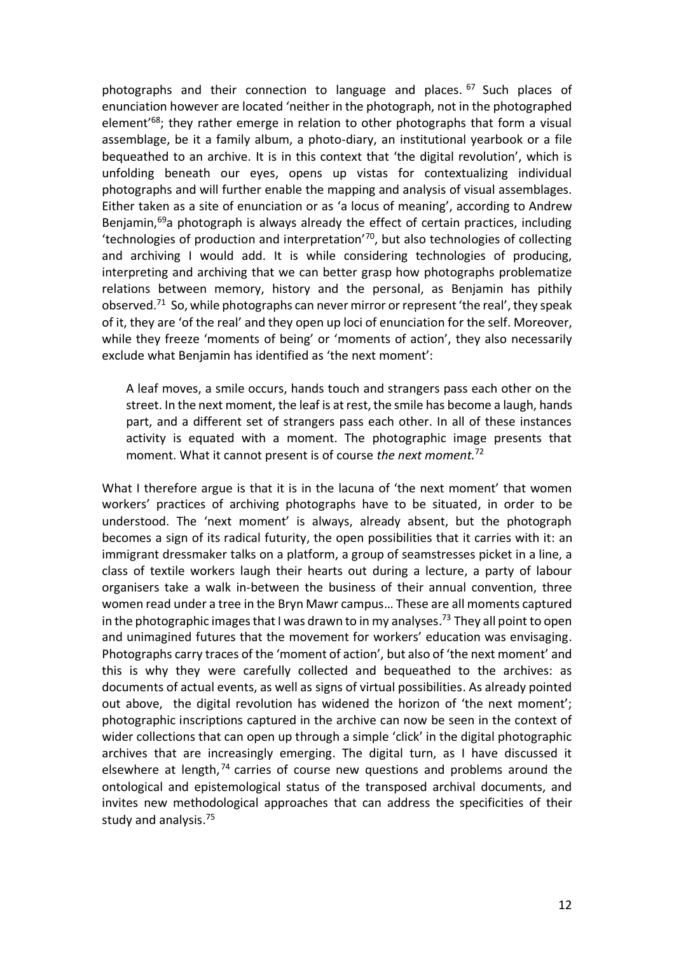photographs and their connection to language and places. <sup>67</sup> Such places of enunciation however are located 'neither in the photograph, not in the photographed element'<sup>68</sup>; they rather emerge in relation to other photographs that form a visual assemblage, be it a family album, a photo-diary, an institutional yearbook or a file bequeathed to an archive. It is in this context that 'the digital revolution', which is unfolding beneath our eyes, opens up vistas for contextualizing individual photographs and will further enable the mapping and analysis of visual assemblages. Either taken as a site of enunciation or as 'a locus of meaning', according to Andrew Benjamin,<sup>69</sup>a photograph is always already the effect of certain practices, including 'technologies of production and interpretation' <sup>70</sup>, but also technologies of collecting and archiving I would add. It is while considering technologies of producing, interpreting and archiving that we can better grasp how photographs problematize relations between memory, history and the personal, as Benjamin has pithily observed.<sup>71</sup> So, while photographs can never mirror or represent 'the real', they speak of it, they are 'of the real' and they open up loci of enunciation for the self. Moreover, while they freeze 'moments of being' or 'moments of action', they also necessarily exclude what Benjamin has identified as 'the next moment':

A leaf moves, a smile occurs, hands touch and strangers pass each other on the street. In the next moment, the leaf is at rest, the smile has become a laugh, hands part, and a different set of strangers pass each other. In all of these instances activity is equated with a moment. The photographic image presents that moment. What it cannot present is of course *the next moment.*<sup>72</sup>

What I therefore argue is that it is in the lacuna of 'the next moment' that women workers' practices of archiving photographs have to be situated, in order to be understood. The 'next moment' is always, already absent, but the photograph becomes a sign of its radical futurity, the open possibilities that it carries with it: an immigrant dressmaker talks on a platform, a group of seamstresses picket in a line, a class of textile workers laugh their hearts out during a lecture, a party of labour organisers take a walk in-between the business of their annual convention, three women read under a tree in the Bryn Mawr campus… These are all moments captured in the photographic images that I was drawn to in my analyses.<sup>73</sup> They all point to open and unimagined futures that the movement for workers' education was envisaging. Photographs carry traces of the 'moment of action', but also of 'the next moment' and this is why they were carefully collected and bequeathed to the archives: as documents of actual events, as well as signs of virtual possibilities. As already pointed out above, the digital revolution has widened the horizon of 'the next moment'; photographic inscriptions captured in the archive can now be seen in the context of wider collections that can open up through a simple 'click' in the digital photographic archives that are increasingly emerging. The digital turn, as I have discussed it elsewhere at length,<sup>74</sup> carries of course new questions and problems around the ontological and epistemological status of the transposed archival documents, and invites new methodological approaches that can address the specificities of their study and analysis. 75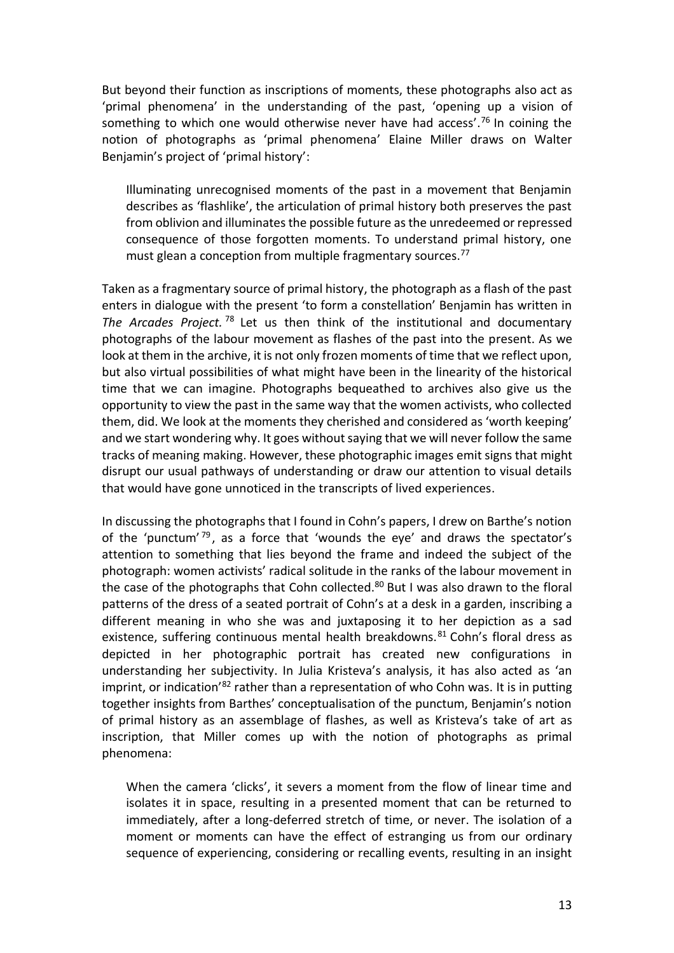But beyond their function as inscriptions of moments, these photographs also act as 'primal phenomena' in the understanding of the past, 'opening up a vision of something to which one would otherwise never have had access'.<sup>76</sup> In coining the notion of photographs as 'primal phenomena' Elaine Miller draws on Walter Benjamin's project of 'primal history':

Illuminating unrecognised moments of the past in a movement that Benjamin describes as 'flashlike', the articulation of primal history both preserves the past from oblivion and illuminates the possible future as the unredeemed or repressed consequence of those forgotten moments. To understand primal history, one must glean a conception from multiple fragmentary sources.<sup>77</sup>

Taken as a fragmentary source of primal history, the photograph as a flash of the past enters in dialogue with the present 'to form a constellation' Benjamin has written in *The Arcades Project.* <sup>78</sup> Let us then think of the institutional and documentary photographs of the labour movement as flashes of the past into the present. As we look at them in the archive, it is not only frozen moments of time that we reflect upon, but also virtual possibilities of what might have been in the linearity of the historical time that we can imagine. Photographs bequeathed to archives also give us the opportunity to view the past in the same way that the women activists, who collected them, did. We look at the moments they cherished and considered as 'worth keeping' and we start wondering why. It goes without saying that we will never follow the same tracks of meaning making. However, these photographic images emit signs that might disrupt our usual pathways of understanding or draw our attention to visual details that would have gone unnoticed in the transcripts of lived experiences.

In discussing the photographs that I found in Cohn's papers, I drew on Barthe's notion of the 'punctum'<sup>79</sup>, as a force that 'wounds the eye' and draws the spectator's attention to something that lies beyond the frame and indeed the subject of the photograph: women activists' radical solitude in the ranks of the labour movement in the case of the photographs that Cohn collected. $80$  But I was also drawn to the floral patterns of the dress of a seated portrait of Cohn's at a desk in a garden, inscribing a different meaning in who she was and juxtaposing it to her depiction as a sad existence, suffering continuous mental health breakdowns.<sup>81</sup> Cohn's floral dress as depicted in her photographic portrait has created new configurations in understanding her subjectivity. In Julia Kristeva's analysis, it has also acted as 'an imprint, or indication<sup>'82</sup> rather than a representation of who Cohn was. It is in putting together insights from Barthes' conceptualisation of the punctum, Benjamin's notion of primal history as an assemblage of flashes, as well as Kristeva's take of art as inscription, that Miller comes up with the notion of photographs as primal phenomena:

When the camera 'clicks', it severs a moment from the flow of linear time and isolates it in space, resulting in a presented moment that can be returned to immediately, after a long-deferred stretch of time, or never. The isolation of a moment or moments can have the effect of estranging us from our ordinary sequence of experiencing, considering or recalling events, resulting in an insight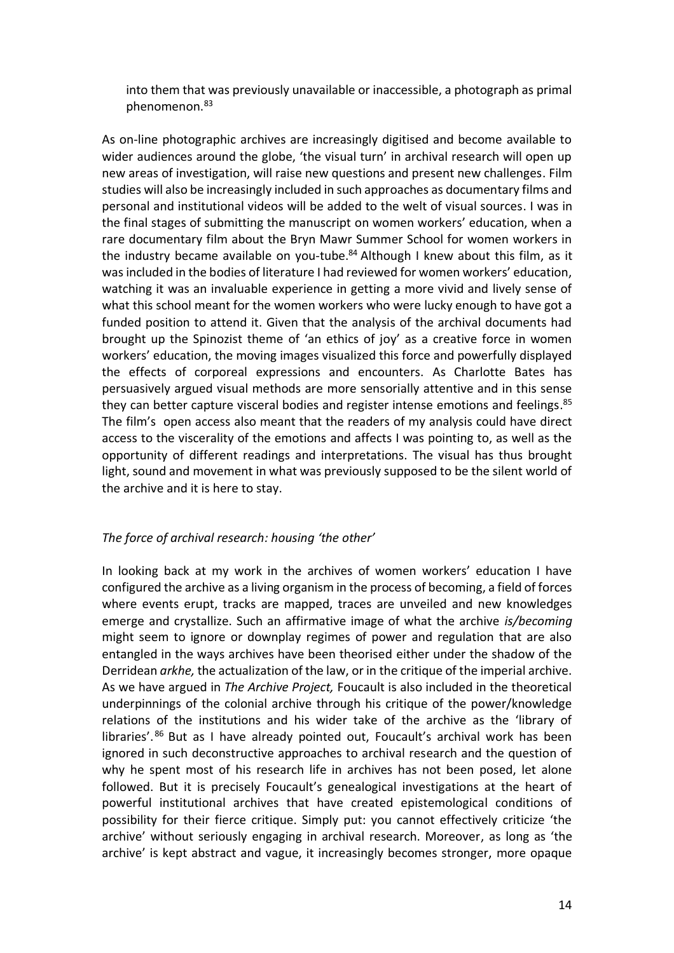into them that was previously unavailable or inaccessible, a photograph as primal phenomenon.<sup>83</sup>

As on-line photographic archives are increasingly digitised and become available to wider audiences around the globe, 'the visual turn' in archival research will open up new areas of investigation, will raise new questions and present new challenges. Film studies will also be increasingly included in such approaches as documentary films and personal and institutional videos will be added to the welt of visual sources. I was in the final stages of submitting the manuscript on women workers' education, when a rare documentary film about the Bryn Mawr Summer School for women workers in the industry became available on you-tube.<sup>84</sup> Although I knew about this film, as it was included in the bodies of literature I had reviewed for women workers' education, watching it was an invaluable experience in getting a more vivid and lively sense of what this school meant for the women workers who were lucky enough to have got a funded position to attend it. Given that the analysis of the archival documents had brought up the Spinozist theme of 'an ethics of joy' as a creative force in women workers' education, the moving images visualized this force and powerfully displayed the effects of corporeal expressions and encounters. As Charlotte Bates has persuasively argued visual methods are more sensorially attentive and in this sense they can better capture visceral bodies and register intense emotions and feelings.<sup>85</sup> The film's open access also meant that the readers of my analysis could have direct access to the viscerality of the emotions and affects I was pointing to, as well as the opportunity of different readings and interpretations. The visual has thus brought light, sound and movement in what was previously supposed to be the silent world of the archive and it is here to stay.

## *The force of archival research: housing 'the other'*

In looking back at my work in the archives of women workers' education I have configured the archive as a living organism in the process of becoming, a field of forces where events erupt, tracks are mapped, traces are unveiled and new knowledges emerge and crystallize. Such an affirmative image of what the archive *is/becoming* might seem to ignore or downplay regimes of power and regulation that are also entangled in the ways archives have been theorised either under the shadow of the Derridean *arkhe,* the actualization of the law, or in the critique of the imperial archive. As we have argued in *The Archive Project,* Foucault is also included in the theoretical underpinnings of the colonial archive through his critique of the power/knowledge relations of the institutions and his wider take of the archive as the 'library of libraries'.<sup>86</sup> But as I have already pointed out, Foucault's archival work has been ignored in such deconstructive approaches to archival research and the question of why he spent most of his research life in archives has not been posed, let alone followed. But it is precisely Foucault's genealogical investigations at the heart of powerful institutional archives that have created epistemological conditions of possibility for their fierce critique. Simply put: you cannot effectively criticize 'the archive' without seriously engaging in archival research. Moreover, as long as 'the archive' is kept abstract and vague, it increasingly becomes stronger, more opaque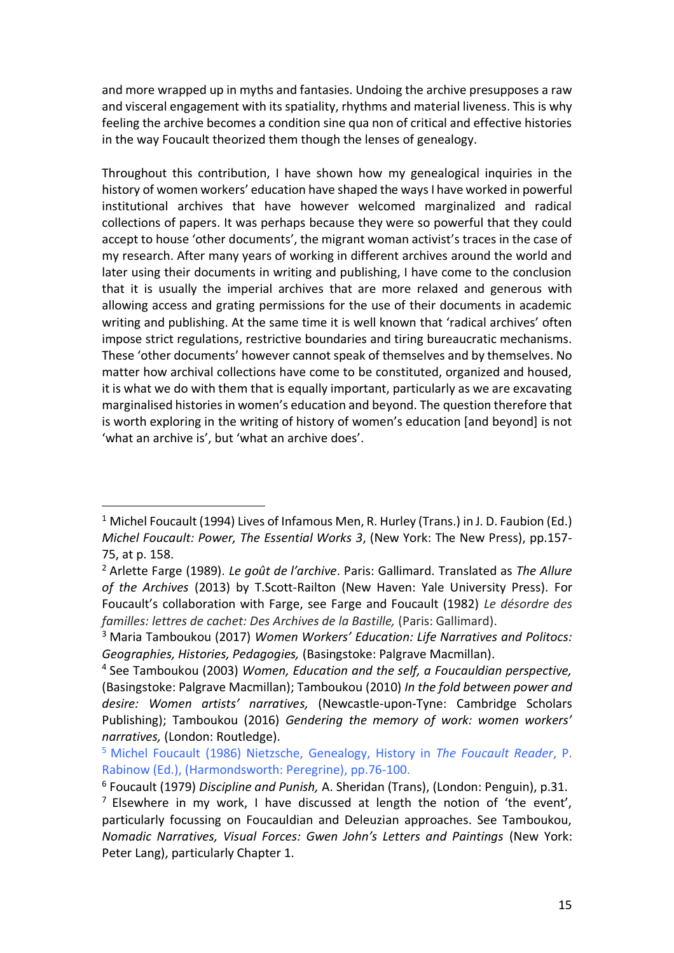and more wrapped up in myths and fantasies. Undoing the archive presupposes a raw and visceral engagement with its spatiality, rhythms and material liveness. This is why feeling the archive becomes a condition sine qua non of critical and effective histories in the way Foucault theorized them though the lenses of genealogy.

Throughout this contribution, I have shown how my genealogical inquiries in the history of women workers' education have shaped the ways I have worked in powerful institutional archives that have however welcomed marginalized and radical collections of papers. It was perhaps because they were so powerful that they could accept to house 'other documents', the migrant woman activist's traces in the case of my research. After many years of working in different archives around the world and later using their documents in writing and publishing, I have come to the conclusion that it is usually the imperial archives that are more relaxed and generous with allowing access and grating permissions for the use of their documents in academic writing and publishing. At the same time it is well known that 'radical archives' often impose strict regulations, restrictive boundaries and tiring bureaucratic mechanisms. These 'other documents' however cannot speak of themselves and by themselves. No matter how archival collections have come to be constituted, organized and housed, it is what we do with them that is equally important, particularly as we are excavating marginalised histories in women's education and beyond. The question therefore that is worth exploring in the writing of history of women's education [and beyond] is not 'what an archive is', but 'what an archive does'.

<sup>&</sup>lt;sup>1</sup> Michel Foucault (1994) Lives of Infamous Men, R. Hurley (Trans.) in J. D. Faubion (Ed.) *Michel Foucault: Power, The Essential Works 3*, (New York: The New Press), pp.157- 75, at p. 158.

<sup>2</sup> Arlette Farge (1989). *Le goût de l'archive*. Paris: Gallimard. Translated as *The Allure of the Archives* (2013) by T.Scott-Railton (New Haven: Yale University Press). For Foucault's collaboration with Farge, see Farge and Foucault (1982) *Le désordre des familles: lettres de cachet: Des Archives de la Bastille, (Paris: Gallimard).* 

<sup>3</sup> Maria Tamboukou (2017) *Women Workers' Education: Life Narratives and Politocs: Geographies, Histories, Pedagogies,* (Basingstoke: Palgrave Macmillan).

<sup>4</sup> See Tamboukou (2003) *Women, Education and the self, a Foucauldian perspective,*  (Basingstoke: Palgrave Macmillan); Tamboukou (2010) *In the fold between power and desire: Women artists' narratives,* (Newcastle-upon-Tyne: Cambridge Scholars Publishing); Tamboukou (2016) *Gendering the memory of work: women workers' narratives,* (London: Routledge).

<sup>5</sup> Michel Foucault (1986) Nietzsche, Genealogy, History in *The Foucault Reader*, P. Rabinow (Ed.), (Harmondsworth: Peregrine), pp.76-100.

<sup>6</sup> Foucault (1979) *Discipline and Punish,* A. Sheridan (Trans), (London: Penguin), p.31.

 $<sup>7</sup>$  Elsewhere in my work, I have discussed at length the notion of 'the event',</sup> particularly focussing on Foucauldian and Deleuzian approaches. See Tamboukou, *Nomadic Narratives, Visual Forces: Gwen John's Letters and Paintings* (New York: Peter Lang), particularly Chapter 1.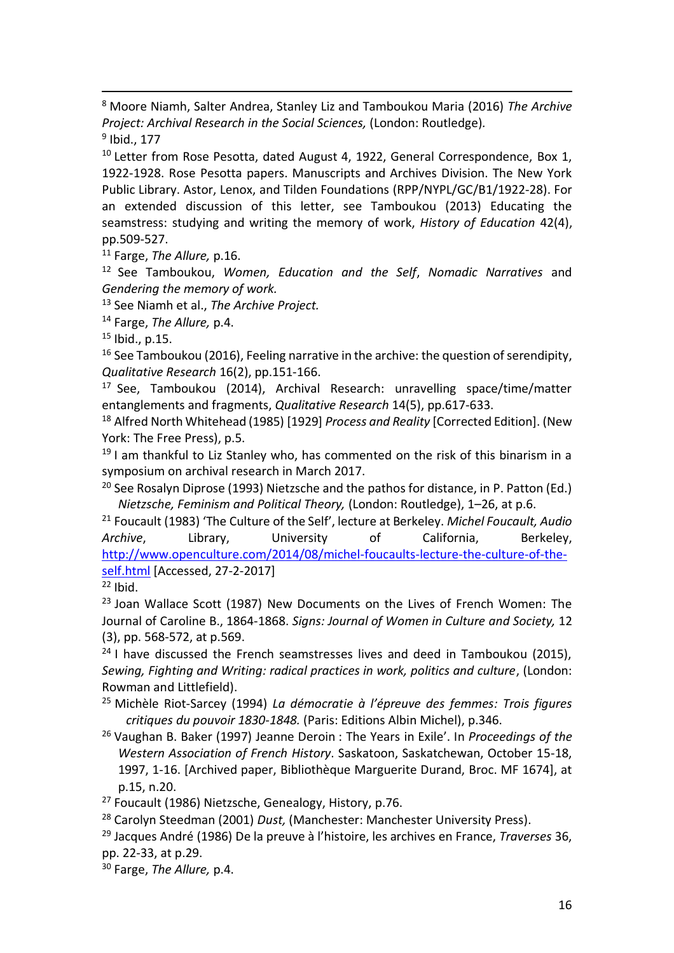<sup>8</sup> Moore Niamh, Salter Andrea, Stanley Liz and Tamboukou Maria (2016) *The Archive Project: Archival Research in the Social Sciences,* (London: Routledge)*.* <sup>9</sup> Ibid., 177

<sup>11</sup> Farge, *The Allure,* p.16.

<sup>12</sup> See Tamboukou, *Women, Education and the Self*, *Nomadic Narratives* and *Gendering the memory of work.*

<sup>13</sup> See Niamh et al., *The Archive Project.*

<sup>14</sup> Farge, *The Allure,* p.4.

<sup>15</sup> Ibid., p.15.

 $\overline{a}$ 

<sup>16</sup> See Tamboukou (2016), Feeling narrative in the archive: the question of serendipity, *Qualitative Research* 16(2), pp.151-166.

 $17$  See, Tamboukou (2014), Archival Research: unravelling space/time/matter entanglements and fragments, *Qualitative Research* 14(5), pp.617-633.

<sup>18</sup> Alfred North Whitehead (1985) [1929] *Process and Reality* [Corrected Edition]. (New York: The Free Press), p.5.

 $19$  I am thankful to Liz Stanley who, has commented on the risk of this binarism in a symposium on archival research in March 2017.

 $20$  See Rosalyn Diprose (1993) Nietzsche and the pathos for distance, in P. Patton (Ed.) *Nietzsche, Feminism and Political Theory,* (London: Routledge), 1–26, at p.6.

<sup>21</sup> Foucault (1983) 'The Culture of the Self', lecture at Berkeley. *Michel Foucault, Audio Archive*, Library, University of California, Berkeley, [http://www.openculture.com/2014/08/michel-foucaults-lecture-the-culture-of-the](http://www.openculture.com/2014/08/michel-foucaults-lecture-the-culture-of-the-self.html)[self.html](http://www.openculture.com/2014/08/michel-foucaults-lecture-the-culture-of-the-self.html) [Accessed, 27-2-2017]

 $22$  Ibid.

<sup>23</sup> Joan Wallace Scott (1987) New Documents on the Lives of French Women: The Journal of Caroline B., 1864-1868. *Signs: Journal of Women in Culture and Society,* 12 (3), pp. 568-572, at p.569.

 $24$  I have discussed the French seamstresses lives and deed in Tamboukou (2015), *Sewing, Fighting and Writing: radical practices in work, politics and culture*, (London: Rowman and Littlefield).

<sup>25</sup> Michèle Riot-Sarcey (1994) *La démocratie à l'épreuve des femmes: Trois figures critiques du pouvoir 1830-1848.* (Paris: Editions Albin Michel), p.346.

<sup>26</sup> Vaughan B. Baker (1997) Jeanne Deroin : The Years in Exile'. In *Proceedings of the Western Association of French History*. Saskatoon, Saskatchewan, October 15-18, 1997, 1-16. [Archived paper, Bibliothèque Marguerite Durand, [Broc. MF 1674\]](http://bspe-p-pub.paris.fr/alswww2.dll/APS_CAT_IDENTIFY?Method=CatalogueExplore&IsTagged=0&DB=BookServer&ExploreType=StockCallNumber&Stem=Broc%2E%20MF%201674&Style=Portal3&SubStyle=&Lang=FRE&ResponseEncoding=utf-8&Parent=Obj_208541429104763), at p.15, n.20.

<sup>27</sup> Foucault (1986) Nietzsche, Genealogy, History, p.76.

<sup>28</sup> Carolyn Steedman (2001) *Dust,* (Manchester: Manchester University Press).

<sup>29</sup> Jacques André (1986) De la preuve à l'histoire, les archives en France, *Traverses* 36, pp. 22-33, at p.29.

<sup>30</sup> Farge, *The Allure,* p.4.

 $10$  Letter from Rose Pesotta, dated August 4, 1922, General Correspondence, Box 1, 1922-1928. Rose Pesotta papers. Manuscripts and Archives Division. The New York Public Library. Astor, Lenox, and Tilden Foundations (RPP/NYPL/GC/B1/1922-28). For an extended discussion of this letter, see Tamboukou (2013) Educating the seamstress: studying and writing the memory of work, *History of Education* 42(4), pp.509-527.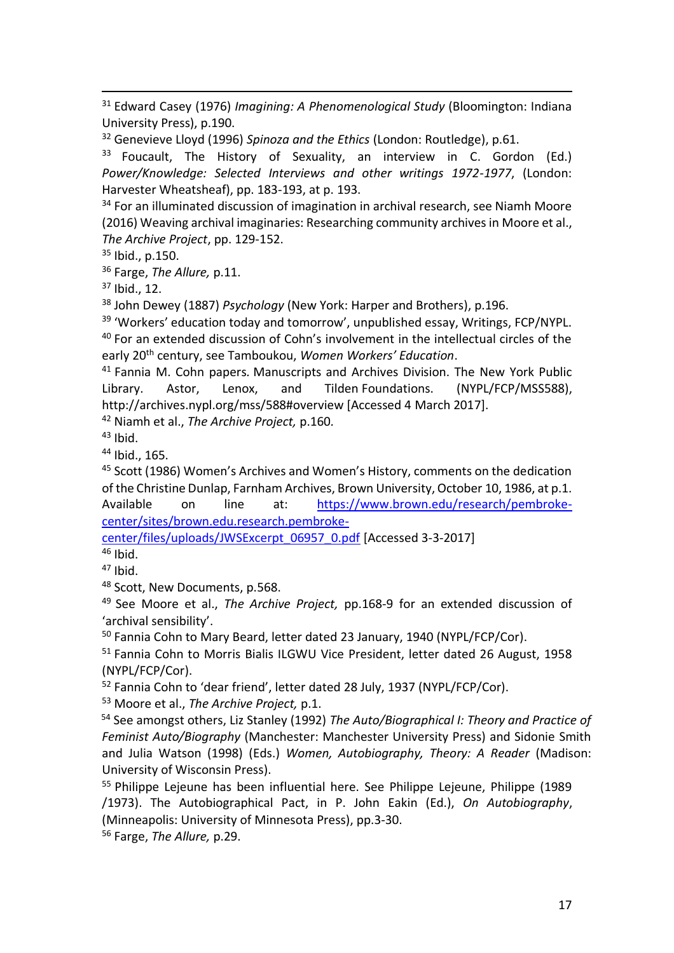<sup>31</sup> Edward Casey (1976) *Imagining: A Phenomenological Study* (Bloomington: Indiana University Press), p.190.

<sup>32</sup> Genevieve Lloyd (1996) *Spinoza and the Ethics* (London: Routledge), p.61.

<sup>33</sup> Foucault, The History of Sexuality, an interview in C. Gordon (Ed.) *Power/Knowledge: Selected Interviews and other writings 1972-1977*, (London: Harvester Wheatsheaf), pp. 183-193, at p. 193.

 $34$  For an illuminated discussion of imagination in archival research, see Niamh Moore (2016) Weaving archival imaginaries: Researching community archives in Moore et al., *The Archive Project*, pp. 129-152.

<sup>35</sup> Ibid., p.150.

<sup>36</sup> Farge, *The Allure,* p.11.

<sup>37</sup> Ibid., 12.

 $\overline{a}$ 

<sup>38</sup> John Dewey (1887) *Psychology* (New York: Harper and Brothers), p.196.

<sup>39</sup> 'Workers' education today and tomorrow', unpublished essay, Writings, FCP/NYPL. <sup>40</sup> For an extended discussion of Cohn's involvement in the intellectual circles of the early 20th century, see Tamboukou, *Women Workers' Education*.

<sup>41</sup> Fannia M. Cohn papers*.* Manuscripts and Archives Division. The New York Public Library. Astor, Lenox, and Tilden Foundations. (NYPL/FCP/MSS588), http://archives.nypl.org/mss/588#overview [Accessed 4 March 2017].

<sup>42</sup> Niamh et al., *The Archive Project,* p.160*.*

 $43$  Ibid.

<sup>44</sup> Ibid., 165.

<sup>45</sup> Scott (1986) Women's Archives and Women's History, comments on the dedication of the Christine Dunlap, Farnham Archives, Brown University, October 10, 1986, at p.1. Available on line at: [https://www.brown.edu/research/pembroke](https://www.brown.edu/research/pembroke-center/sites/brown.edu.research.pembroke-center/files/uploads/JWSExcerpt_06957_0.pdf)[center/sites/brown.edu.research.pembroke-](https://www.brown.edu/research/pembroke-center/sites/brown.edu.research.pembroke-center/files/uploads/JWSExcerpt_06957_0.pdf)

[center/files/uploads/JWSExcerpt\\_06957\\_0.pdf](https://www.brown.edu/research/pembroke-center/sites/brown.edu.research.pembroke-center/files/uploads/JWSExcerpt_06957_0.pdf) [Accessed 3-3-2017]

 $46$  Ibid.

 $47$  Ibid.

<sup>48</sup> Scott, New Documents, p.568.

<sup>49</sup> See Moore et al., *The Archive Project,* pp.168-9 for an extended discussion of 'archival sensibility'.

<sup>50</sup> Fannia Cohn to Mary Beard, letter dated 23 January, 1940 (NYPL/FCP/Cor).

<sup>51</sup> Fannia Cohn to Morris Bialis ILGWU Vice President, letter dated 26 August, 1958 (NYPL/FCP/Cor).

<sup>52</sup> Fannia Cohn to 'dear friend', letter dated 28 July, 1937 (NYPL/FCP/Cor).

<sup>53</sup> Moore et al., *The Archive Project,* p.1.

<sup>54</sup> See amongst others, Liz Stanley (1992) *The Auto/Biographical I: Theory and Practice of Feminist Auto/Biography* (Manchester: Manchester University Press) and Sidonie Smith and Julia Watson (1998) (Eds.) *Women, Autobiography, Theory: A Reader* (Madison: University of Wisconsin Press).

<sup>55</sup> Philippe Lejeune has been influential here. See Philippe Lejeune, Philippe (1989 /1973). The Autobiographical Pact, in P. John Eakin (Ed.), *On Autobiography*, (Minneapolis: University of Minnesota Press), pp.3-30.

<sup>56</sup> Farge, *The Allure,* p.29.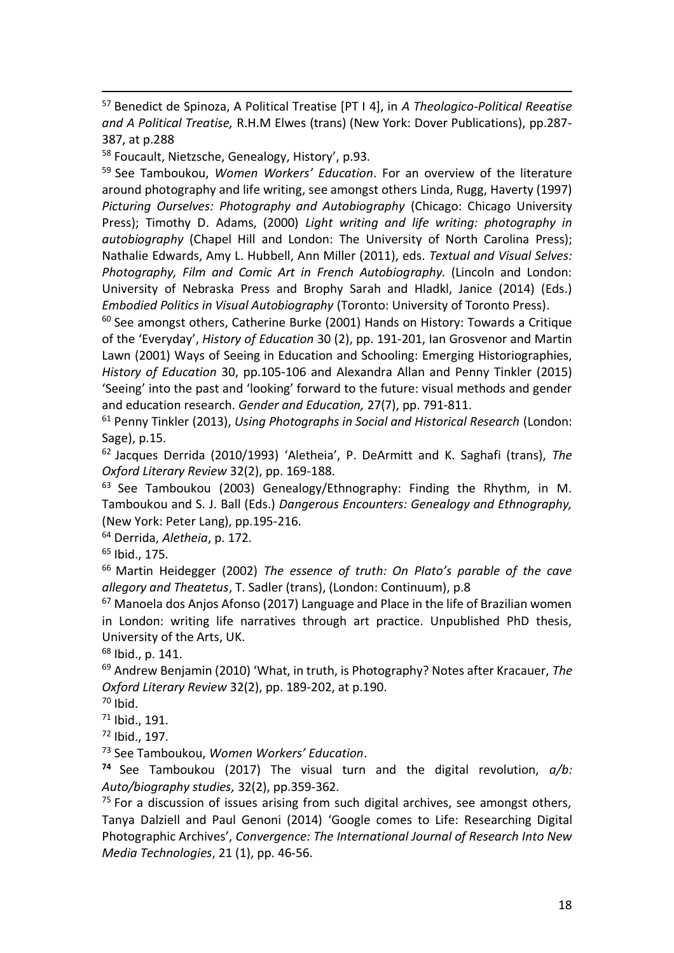<sup>58</sup> Foucault, Nietzsche, Genealogy, History', p.93.

<sup>59</sup> See Tamboukou, *Women Workers' Education*. For an overview of the literature around photography and life writing, see amongst others Linda, Rugg, Haverty (1997) *Picturing Ourselves: Photography and Autobiography* (Chicago: Chicago University Press); Timothy D. Adams, (2000) *Light writing and life writing: photography in autobiography* (Chapel Hill and London: The University of North Carolina Press); Nathalie Edwards, Amy L. Hubbell, Ann Miller (2011), eds. *Textual and Visual Selves: Photography, Film and Comic Art in French Autobiography.* (Lincoln and London: University of Nebraska Press and Brophy Sarah and Hladkl, Janice (2014) (Eds.) *Embodied Politics in Visual Autobiography* (Toronto: University of Toronto Press).

 $60$  See amongst others, Catherine Burke (2001) Hands on History: Towards a Critique of the 'Everyday', *History of Education* 30 (2), pp. 191-201, Ian Grosvenor and Martin Lawn (2001) Ways of Seeing in Education and Schooling: Emerging Historiographies, *History of Education* 30, pp.105-106 and Alexandra Allan and Penny Tinkler (2015) 'Seeing' into the past and 'looking' forward to the future: visual methods and gender and education research. *Gender and Education,* 27(7), pp. 791-811.

<sup>61</sup> Penny Tinkler (2013), *Using Photographs in Social and Historical Research* (London: Sage), p.15.

<sup>62</sup> Jacques Derrida (2010/1993) 'Aletheia', P. DeArmitt and K. Saghafi (trans), *The Oxford Literary Review* 32(2), pp. 169-188.

 $63$  See Tamboukou (2003) Genealogy/Ethnography: Finding the Rhythm, in M. Tamboukou and S. J. Ball (Eds.) *Dangerous Encounters: Genealogy and Ethnography,*  (New York: Peter Lang), pp.195-216.

<sup>64</sup> Derrida, *Aletheia*, p. 172.

<sup>65</sup> Ibid., 175.

 $\overline{a}$ 

<sup>66</sup> Martin Heidegger (2002) *The essence of truth: On Plato's parable of the cave allegory and Theatetus*, T. Sadler (trans), (London: Continuum), p.8

<sup>67</sup> Manoela dos Anjos Afonso (2017) Language and Place in the life of Brazilian women in London: writing life narratives through art practice. Unpublished PhD thesis, University of the Arts, UK.

<sup>68</sup> Ibid., p. 141.

<sup>69</sup> Andrew Benjamin (2010) 'What, in truth, is Photography? Notes after Kracauer, *The Oxford Literary Review* 32(2), pp. 189-202, at p.190.

 $70$  Ibid.

<sup>71</sup> Ibid., 191.

<sup>72</sup> Ibid., 197.

<sup>73</sup> See Tamboukou, *Women Workers' Education*.

**<sup>74</sup>** See Tamboukou (2017) The visual turn and the digital revolution, *a/b: Auto/biography studies,* 32(2), pp.359-362.

 $75$  For a discussion of issues arising from such digital archives, see amongst others, Tanya Dalziell and Paul Genoni (2014) 'Google comes to Life: Researching Digital Photographic Archives', *Convergence: The International Journal of Research Into New Media Technologies*, 21 (1), pp. 46-56.

<sup>57</sup> Benedict de Spinoza, A Political Treatise [PT I 4], in *A Theologico-Political Reeatise and A Political Treatise,* R.H.M Elwes (trans) (New York: Dover Publications), pp.287- 387, at p.288